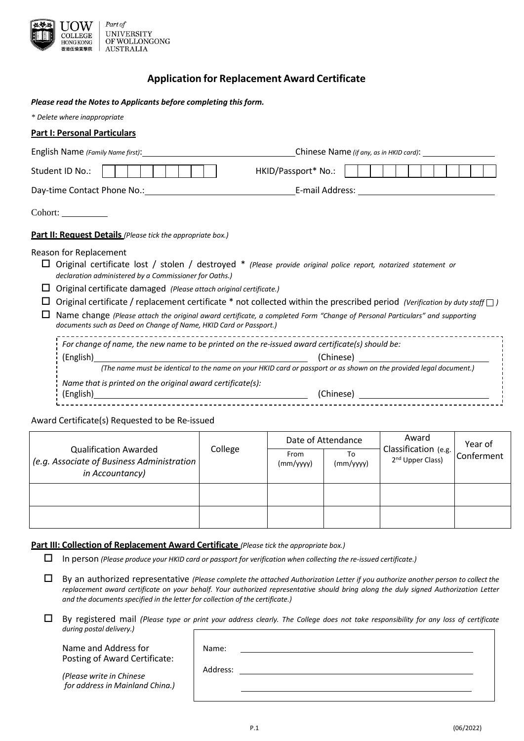

## **Application for Replacement Award Certificate**

#### *Please read the Notes to Applicants before completing this form.*

| * Delete where inappropriate |  |
|------------------------------|--|
|------------------------------|--|

|   | <b>Part I: Personal Particulars</b>                                                                                                                                                                                            |                                                                                                                                                                                                                                                                                                                                                                                    |
|---|--------------------------------------------------------------------------------------------------------------------------------------------------------------------------------------------------------------------------------|------------------------------------------------------------------------------------------------------------------------------------------------------------------------------------------------------------------------------------------------------------------------------------------------------------------------------------------------------------------------------------|
|   |                                                                                                                                                                                                                                |                                                                                                                                                                                                                                                                                                                                                                                    |
|   | Student ID No.:                                                                                                                                                                                                                | HKID/Passport* No.:                                                                                                                                                                                                                                                                                                                                                                |
|   | Day-time Contact Phone No.: Note that the contract of the contract of the contract of the contract of the contract of the contract of the contract of the contract of the contract of the contract of the contract of the cont | E-mail Address: National Address: National Address: National Address: National Address                                                                                                                                                                                                                                                                                             |
|   | Cohort:                                                                                                                                                                                                                        |                                                                                                                                                                                                                                                                                                                                                                                    |
|   | Part II: Request Details (Please tick the appropriate box.)                                                                                                                                                                    |                                                                                                                                                                                                                                                                                                                                                                                    |
| ப | Reason for Replacement<br>declaration administered by a Commissioner for Oaths.)<br>Original certificate damaged (Please attach original certificate.)<br>documents such as Deed on Change of Name, HKID Card or Passport.)    | Original certificate lost / stolen / destroyed * (Please provide original police report, notarized statement or<br>Original certificate / replacement certificate * not collected within the prescribed period (Verification by duty staff $\Box$ )<br>Name change (Please attach the original award certificate, a completed Form "Change of Personal Particulars" and supporting |
|   | For change of name, the new name to be printed on the re-issued award certificate(s) should be:                                                                                                                                | (Chinese) and the control of the control of the control of the control of the control of the control of the control of the control of the control of the control of the control of the control of the control of the control o<br>(The name must be identical to the name on your HKID card or passport or as shown on the provided legal document.)                               |
|   | Name that is printed on the original award certificate(s):                                                                                                                                                                     |                                                                                                                                                                                                                                                                                                                                                                                    |
|   |                                                                                                                                                                                                                                |                                                                                                                                                                                                                                                                                                                                                                                    |

#### Award Certificate(s) Requested to be Re-issued

|                                                                                                | College | Date of Attendance |                 | Award                                                | Year of    |
|------------------------------------------------------------------------------------------------|---------|--------------------|-----------------|------------------------------------------------------|------------|
| <b>Qualification Awarded</b><br>(e.g. Associate of Business Administration)<br>in Accountancy) |         | From<br>(mm/yyyy)  | To<br>(mm/yyyy) | Classification (e.g.<br>2 <sup>nd</sup> Upper Class) | Conferment |
|                                                                                                |         |                    |                 |                                                      |            |
|                                                                                                |         |                    |                 |                                                      |            |

#### **Part III: Collection of Replacement Award Certificate** *(Please tick the appropriate box.)*

In person *(Please produce your HKID card or passport for verification when collecting the re-issued certificate.)*

 $\Box$  By an authorized representative (Please complete the attached Authorization Letter if you authorize another person to collect the replacement award certificate on your behalf. Your authorized representative should bring along the duly signed Authorization Letter *and the documents specified in the letter for collection of the certificate.)*

 $\Box$  By registered mail (Please type or print your address clearly. The College does not take responsibility for any loss of certificate *during postal delivery.)*

Name and Address for Posting of Award Certificate:

*(Please write in Chinese for address in Mainland China.)* Address:

Name: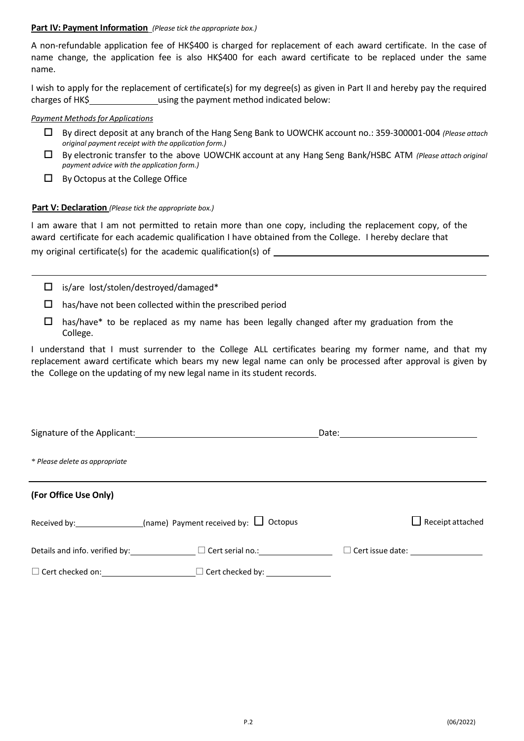### **Part IV: Payment Information** *(Please tick the appropriate box.)*

A non-refundable application fee of HK\$400 is charged for replacement of each award certificate. In the case of name change, the application fee is also HK\$400 for each award certificate to be replaced under the same name.

I wish to apply for the replacement of certificate(s) for my degree(s) as given in Part II and hereby pay the required charges of HK\$ using the payment method indicated below:

#### *Payment Methodsfor Applications*

- By direct deposit at any branch of the Hang Seng Bank to UOWCHK account no.: 359-300001-004 *(Please attach original payment receipt with the application form.)*
- By electronic transfer to the above UOWCHK account at any Hang Seng Bank/HSBC ATM *(Please attach original payment advice with the application form.)*
- $\Box$  By Octopus at the College Office

### **Part V: Declaration** *(Please tick the appropriate box.)*

I am aware that I am not permitted to retain more than one copy, including the replacement copy, of the award certificate for each academic qualification I have obtained from the College. I hereby declare that my original certificate(s) for the academic qualification(s) of \_\_\_\_\_\_\_\_\_\_\_\_\_\_\_\_\_

- $\Box$  is/are lost/stolen/destroyed/damaged\*
- $\Box$  has/have not been collected within the prescribed period
- $\Box$  has/have\* to be replaced as my name has been legally changed after my graduation from the College.

I understand that I must surrender to the College ALL certificates bearing my former name, and that my replacement award certificate which bears my new legal name can only be processed after approval is given by the College on the updating of my new legal name in its student records.

| * Please delete as appropriate |                                                                |                         |
|--------------------------------|----------------------------------------------------------------|-------------------------|
| (For Office Use Only)          |                                                                |                         |
|                                | Received by: $\Box$ (name) Payment received by: $\Box$ Octopus | $\Box$ Receipt attached |
|                                | Details and info. verified by: $\Box$ Cert serial no.:         |                         |
| $\Box$ Cert checked on:        | $\Box$ Cert checked by:                                        |                         |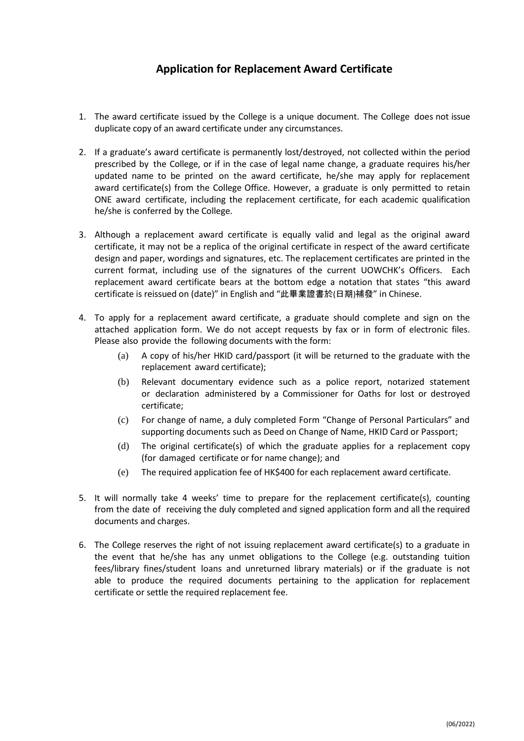# **Application for Replacement Award Certificate**

- 1. The award certificate issued by the College is a unique document. The College does not issue duplicate copy of an award certificate under any circumstances.
- 2. If a graduate's award certificate is permanently lost/destroyed, not collected within the period prescribed by the College, or if in the case of legal name change, a graduate requires his/her updated name to be printed on the award certificate, he/she may apply for replacement award certificate(s) from the College Office. However, a graduate is only permitted to retain ONE award certificate, including the replacement certificate, for each academic qualification he/she is conferred by the College.
- 3. Although a replacement award certificate is equally valid and legal as the original award certificate, it may not be a replica of the original certificate in respect of the award certificate design and paper, wordings and signatures, etc. The replacement certificates are printed in the current format, including use of the signatures of the current UOWCHK's Officers. Each replacement award certificate bears at the bottom edge a notation that states "this award certificate is reissued on (date)" in English and "此畢業證書於(日期)補發" in Chinese.
- 4. To apply for a replacement award certificate, a graduate should complete and sign on the attached application form. We do not accept requests by fax or in form of electronic files. Please also provide the following documents with the form:
	- (a) A copy of his/her HKID card/passport (it will be returned to the graduate with the replacement award certificate);
	- (b) Relevant documentary evidence such as a police report, notarized statement or declaration administered by a Commissioner for Oaths for lost or destroyed certificate;
	- (c) For change of name, a duly completed Form "Change of Personal Particulars" and supporting documents such as Deed on Change of Name, HKID Card or Passport;
	- (d) The original certificate(s) of which the graduate applies for a replacement copy (for damaged certificate or for name change); and
	- (e) The required application fee of HK\$400 for each replacement award certificate.
- 5. It will normally take 4 weeks' time to prepare for the replacement certificate(s), counting from the date of receiving the duly completed and signed application form and all the required documents and charges.
- 6. The College reserves the right of not issuing replacement award certificate(s) to a graduate in the event that he/she has any unmet obligations to the College (e.g. outstanding tuition fees/library fines/student loans and unreturned library materials) or if the graduate is not able to produce the required documents pertaining to the application for replacement certificate or settle the required replacement fee.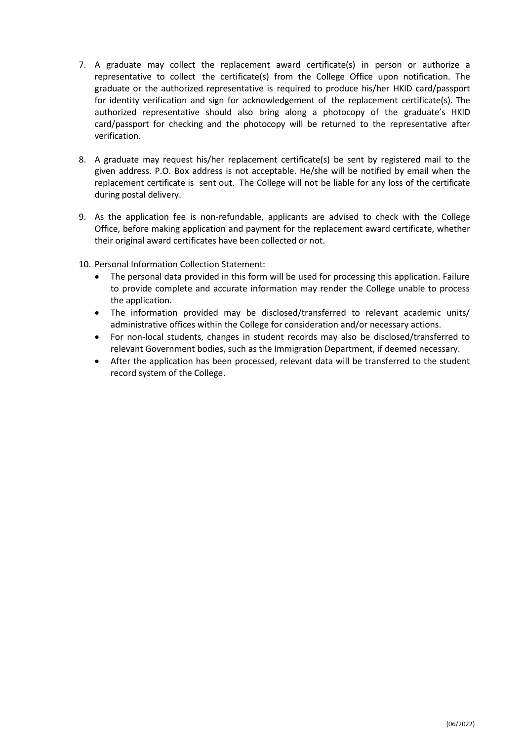- 7. A graduate may collect the replacement award certificate(s) in person or authorize a representative to collect the certificate(s) from the College Office upon notification. The graduate or the authorized representative is required to produce his/her HKID card/passport for identity verification and sign for acknowledgement of the replacement certificate(s). The authorized representative should also bring along a photocopy of the graduate's HKID card/passport for checking and the photocopy will be returned to the representative after verification.
- 8. A graduate may request his/her replacement certificate(s) be sent by registered mail to the given address. P.O. Box address is not acceptable. He/she will be notified by email when the replacement certificate is sent out. The College will not be liable for any loss of the certificate during postal delivery.
- 9. As the application fee is non-refundable, applicants are advised to check with the College Office, before making application and payment for the replacement award certificate, whether their original award certificates have been collected or not.
- 10. Personal Information Collection Statement:
	- The personal data provided in this form will be used for processing this application. Failure to provide complete and accurate information may render the College unable to process the application.
	- The information provided may be disclosed/transferred to relevant academic units/ administrative offices within the College for consideration and/or necessary actions.
	- For non-local students, changes in student records may also be disclosed/transferred to relevant Government bodies, such as the Immigration Department, if deemed necessary.
	- After the application has been processed, relevant data will be transferred to the student record system of the College.